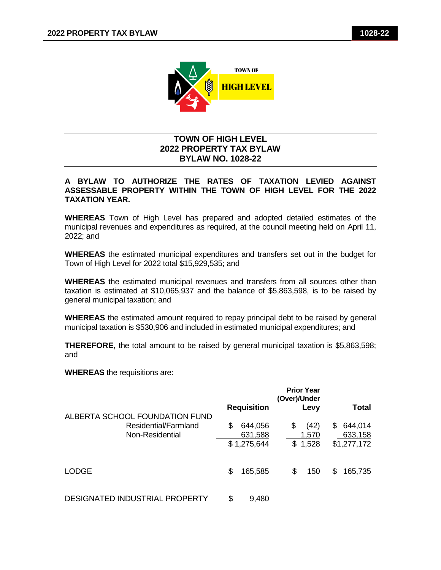

## **TOWN OF HIGH LEVEL 2022 PROPERTY TAX BYLAW BYLAW NO. 1028-22**

## **A BYLAW TO AUTHORIZE THE RATES OF TAXATION LEVIED AGAINST ASSESSABLE PROPERTY WITHIN THE TOWN OF HIGH LEVEL FOR THE 2022 TAXATION YEAR.**

**WHEREAS** Town of High Level has prepared and adopted detailed estimates of the municipal revenues and expenditures as required, at the council meeting held on April 11, 2022; and

**WHEREAS** the estimated municipal expenditures and transfers set out in the budget for Town of High Level for 2022 total \$15,929,535; and

**WHEREAS** the estimated municipal revenues and transfers from all sources other than taxation is estimated at \$10,065,937 and the balance of \$5,863,598, is to be raised by general municipal taxation; and

**WHEREAS** the estimated amount required to repay principal debt to be raised by general municipal taxation is \$530,906 and included in estimated municipal expenditures; and

**THEREFORE,** the total amount to be raised by general municipal taxation is \$5,863,598; and

**WHEREAS** the requisitions are:

|                                                                           | <b>Prior Year</b><br>(Over)/Under                                                                                    |
|---------------------------------------------------------------------------|----------------------------------------------------------------------------------------------------------------------|
|                                                                           | <b>Requisition</b><br>Total<br>Levy                                                                                  |
| ALBERTA SCHOOL FOUNDATION FUND<br>Residential/Farmland<br>Non-Residential | \$<br>\$<br>(42)<br>644,056<br>644,014<br>\$<br>633,158<br>631,588<br>1,570<br>\$1,275,644<br>\$1,528<br>\$1,277,172 |
| <b>LODGE</b>                                                              | \$<br>165,585<br>\$<br>165,735<br>150<br>S                                                                           |
| DESIGNATED INDUSTRIAL PROPERTY                                            | \$<br>9,480                                                                                                          |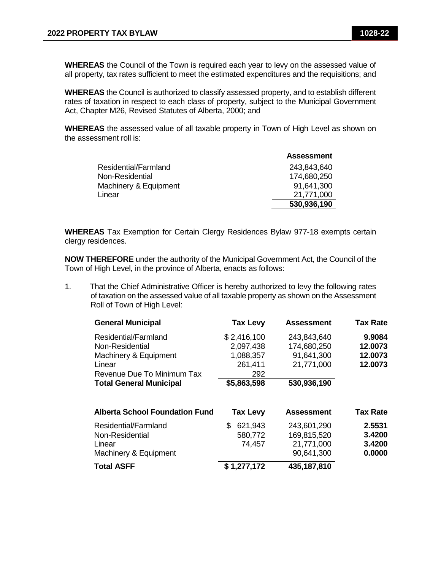**WHEREAS** the Council of the Town is required each year to levy on the assessed value of all property, tax rates sufficient to meet the estimated expenditures and the requisitions; and

**WHEREAS** the Council is authorized to classify assessed property, and to establish different rates of taxation in respect to each class of property, subject to the Municipal Government Act, Chapter M26, Revised Statutes of Alberta, 2000; and

**WHEREAS** the assessed value of all taxable property in Town of High Level as shown on the assessment roll is:

|                       | <b>Assessment</b> |
|-----------------------|-------------------|
| Residential/Farmland  | 243,843,640       |
| Non-Residential       | 174,680,250       |
| Machinery & Equipment | 91,641,300        |
| Linear                | 21,771,000        |
|                       | 530,936,190       |
|                       |                   |

**WHEREAS** Tax Exemption for Certain Clergy Residences Bylaw 977-18 exempts certain clergy residences.

**NOW THEREFORE** under the authority of the Municipal Government Act, the Council of the Town of High Level, in the province of Alberta, enacts as follows:

1. That the Chief Administrative Officer is hereby authorized to levy the following rates of taxation on the assessed value of all taxable property as shown on the Assessment Roll of Town of High Level:

| <b>General Municipal</b>              | <b>Tax Levy</b> | <b>Assessment</b> | <b>Tax Rate</b> |
|---------------------------------------|-----------------|-------------------|-----------------|
| Residential/Farmland                  | \$2,416,100     | 243,843,640       | 9.9084          |
| Non-Residential                       | 2,097,438       | 174,680,250       | 12.0073         |
| Machinery & Equipment                 | 1,088,357       | 91,641,300        | 12.0073         |
| Linear                                | 261,411         | 21,771,000        | 12.0073         |
| Revenue Due To Minimum Tax            | 292             |                   |                 |
| <b>Total General Municipal</b>        | \$5,863,598     | 530,936,190       |                 |
| <b>Alberta School Foundation Fund</b> | <b>Tax Levy</b> | <b>Assessment</b> | <b>Tax Rate</b> |
| Residential/Farmland                  | 621,943<br>S    | 243,601,290       | 2.5531          |
| Non-Residential                       | 580,772         | 169,815,520       | 3.4200          |
| Linear                                | 74,457          | 21,771,000        | 3.4200          |
| Machinery & Equipment                 |                 | 90,641,300        | 0.0000          |
| <b>Total ASFF</b>                     | \$1,277,172     | 435,187,810       |                 |